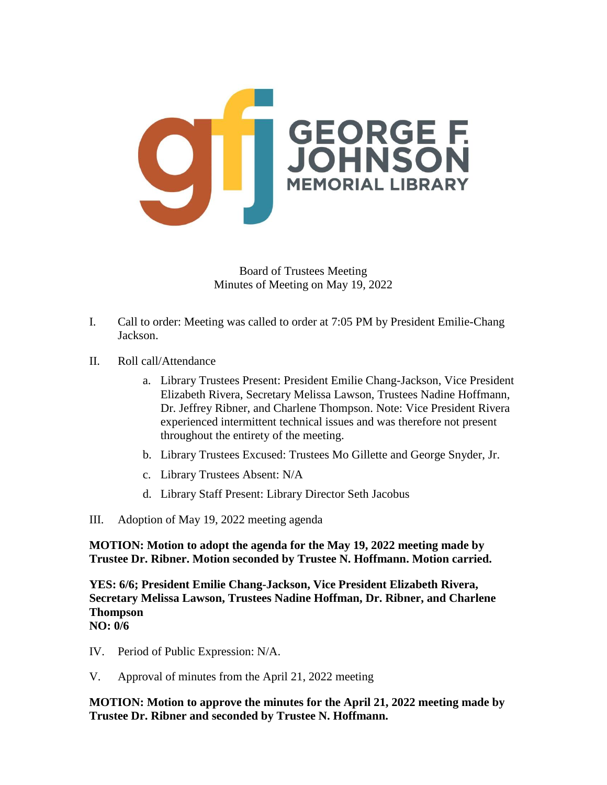

- I. Call to order: Meeting was called to order at 7:05 PM by President Emilie-Chang Jackson.
- II. Roll call/Attendance
	- a. Library Trustees Present: President Emilie Chang-Jackson, Vice President Elizabeth Rivera, Secretary Melissa Lawson, Trustees Nadine Hoffmann, Dr. Jeffrey Ribner, and Charlene Thompson. Note: Vice President Rivera experienced intermittent technical issues and was therefore not present throughout the entirety of the meeting.
	- b. Library Trustees Excused: Trustees Mo Gillette and George Snyder, Jr.
	- c. Library Trustees Absent: N/A
	- d. Library Staff Present: Library Director Seth Jacobus
- III. Adoption of May 19, 2022 meeting agenda

**MOTION: Motion to adopt the agenda for the May 19, 2022 meeting made by Trustee Dr. Ribner. Motion seconded by Trustee N. Hoffmann. Motion carried.**

**YES: 6/6; President Emilie Chang-Jackson, Vice President Elizabeth Rivera, Secretary Melissa Lawson, Trustees Nadine Hoffman, Dr. Ribner, and Charlene Thompson**

## **NO: 0/6**

- IV. Period of Public Expression: N/A.
- V. Approval of minutes from the April 21, 2022 meeting

**MOTION: Motion to approve the minutes for the April 21, 2022 meeting made by Trustee Dr. Ribner and seconded by Trustee N. Hoffmann.**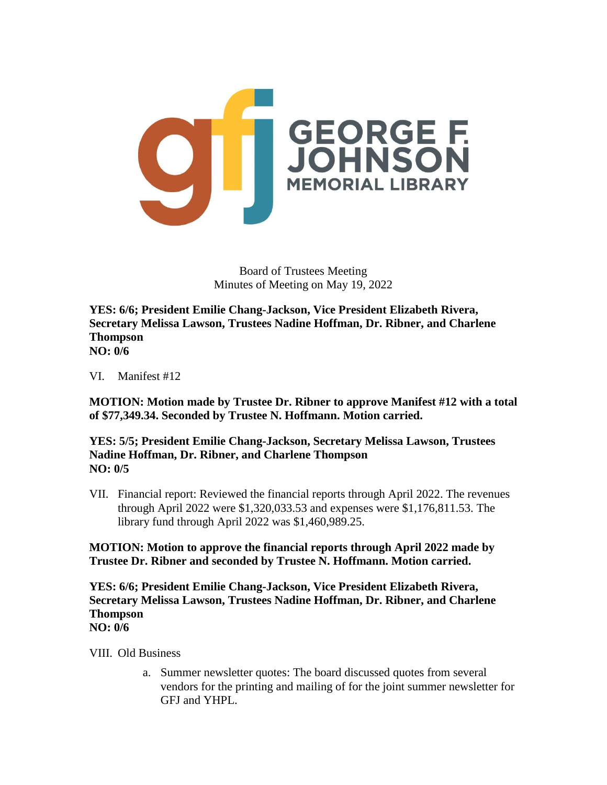

**YES: 6/6; President Emilie Chang-Jackson, Vice President Elizabeth Rivera, Secretary Melissa Lawson, Trustees Nadine Hoffman, Dr. Ribner, and Charlene Thompson NO: 0/6**

VI. Manifest #12

**MOTION: Motion made by Trustee Dr. Ribner to approve Manifest #12 with a total of \$77,349.34. Seconded by Trustee N. Hoffmann. Motion carried.**

**YES: 5/5; President Emilie Chang-Jackson, Secretary Melissa Lawson, Trustees Nadine Hoffman, Dr. Ribner, and Charlene Thompson NO: 0/5**

VII. Financial report: Reviewed the financial reports through April 2022. The revenues through April 2022 were \$1,320,033.53 and expenses were \$1,176,811.53. The library fund through April 2022 was \$1,460,989.25.

**MOTION: Motion to approve the financial reports through April 2022 made by Trustee Dr. Ribner and seconded by Trustee N. Hoffmann. Motion carried.**

**YES: 6/6; President Emilie Chang-Jackson, Vice President Elizabeth Rivera, Secretary Melissa Lawson, Trustees Nadine Hoffman, Dr. Ribner, and Charlene Thompson NO: 0/6**

VIII. Old Business

a. Summer newsletter quotes: The board discussed quotes from several vendors for the printing and mailing of for the joint summer newsletter for GFJ and YHPL.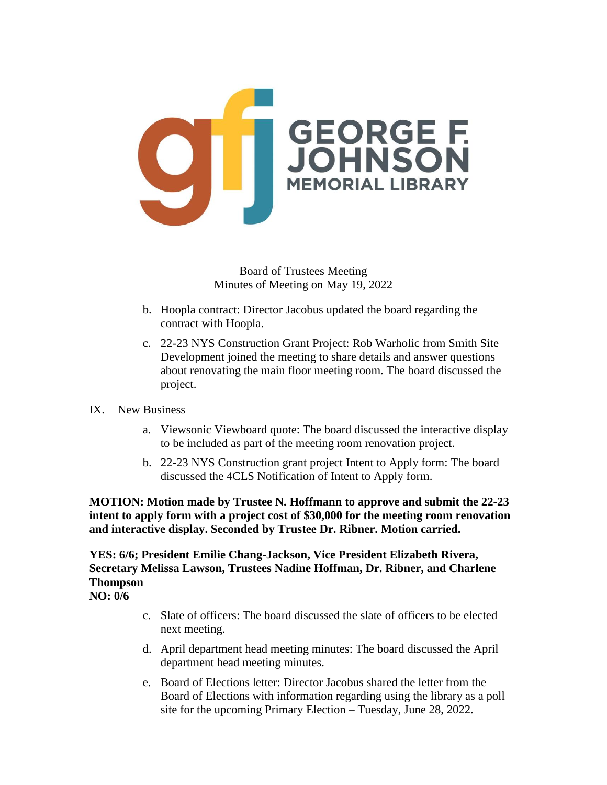

- b. Hoopla contract: Director Jacobus updated the board regarding the contract with Hoopla.
- c. 22-23 NYS Construction Grant Project: Rob Warholic from Smith Site Development joined the meeting to share details and answer questions about renovating the main floor meeting room. The board discussed the project.

## IX. New Business

- a. Viewsonic Viewboard quote: The board discussed the interactive display to be included as part of the meeting room renovation project.
- b. 22-23 NYS Construction grant project Intent to Apply form: The board discussed the 4CLS Notification of Intent to Apply form.

**MOTION: Motion made by Trustee N. Hoffmann to approve and submit the 22-23 intent to apply form with a project cost of \$30,000 for the meeting room renovation and interactive display. Seconded by Trustee Dr. Ribner. Motion carried.**

**YES: 6/6; President Emilie Chang-Jackson, Vice President Elizabeth Rivera, Secretary Melissa Lawson, Trustees Nadine Hoffman, Dr. Ribner, and Charlene Thompson**

**NO: 0/6**

- c. Slate of officers: The board discussed the slate of officers to be elected next meeting.
- d. April department head meeting minutes: The board discussed the April department head meeting minutes.
- e. Board of Elections letter: Director Jacobus shared the letter from the Board of Elections with information regarding using the library as a poll site for the upcoming Primary Election – Tuesday, June 28, 2022.